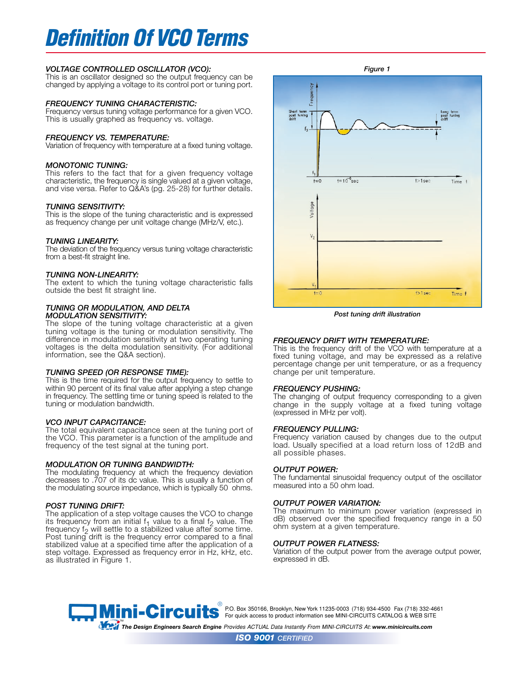# *Definition Of VCO Terms*

# *VOLTAGE CONTROLLED OSCILLATOR (VCO):*

This is an oscillator designed so the output frequency can be changed by applying a voltage to its control port or tuning port.

# *FREQUENCY TUNING CHARACTERISTIC:*

Frequency versus tuning voltage performance for a given VCO. This is usually graphed as frequency vs. voltage.

# *FREQUENCY VS. TEMPERATURE:*

Variation of frequency with temperature at a fixed tuning voltage.

# *MONOTONIC TUNING:*

This refers to the fact that for a given frequency voltage characteristic, the frequency is single valued at a given voltage, and vise versa. Refer to Q&A's (pg. 25-28) for further details.

# *TUNING SENSITIVITY:*

This is the slope of the tuning characteristic and is expressed as frequency change per unit voltage change (MHz/V, etc.).

## *TUNING LINEARITY:*

The deviation of the frequency versus tuning voltage characteristic from a best-fit straight line.

## *TUNING NON-LINEARITY:*

The extent to which the tuning voltage characteristic falls outside the best fit straight line.

## *TUNING OR MODULATION, AND DELTA MODULATION SENSITIVITY:*

The slope of the tuning voltage characteristic at a given tuning voltage is the tuning or modulation sensitivity. The difference in modulation sensitivity at two operating tuning voltages is the delta modulation sensitivity. (For additional information, see the Q&A section).

# *TUNING SPEED (OR RESPONSE TIME):*

This is the time required for the output frequency to settle to within 90 percent of its final value after applying a step change in frequency. The settling time or tuning speed is related to the tuning or modulation bandwidth.

# *VCO INPUT CAPACITANCE:*

The total equivalent capacitance seen at the tuning port of the VCO. This parameter is a function of the amplitude and frequency of the test signal at the tuning port.

#### *MODULATION OR TUNING BANDWIDTH:*

The modulating frequency at which the frequency deviation decreases to .707 of its dc value. This is usually a function of the modulating source impedance, which is typically 50 ohms.

# *POST TUNING DRIFT:*

The application of a step voltage causes the VCO to change its frequency from an initial  $f_1$  value to a final  $f_2$  value. The frequency f<sub>2</sub> will settle to a stabilized value after some time. Post tuning drift is the frequency error compared to a final stabilized value at a specified time after the application of a step voltage. Expressed as frequency error in Hz, kHz, etc. as illustrated in Figure 1.



*Post tuning drift illustration*

# *FREQUENCY DRIFT WITH TEMPERATURE:*

This is the frequency drift of the VCO with temperature at a fixed tuning voltage, and may be expressed as a relative percentage change per unit temperature, or as a frequency change per unit temperature.

#### *FREQUENCY PUSHING:*

The changing of output frequency corresponding to a given change in the supply voltage at a fixed tuning voltage (expressed in MHz per volt).

#### *FREQUENCY PULLING:*

Frequency variation caused by changes due to the output load. Usually specified at a load return loss of 12dB and all possible phases.

# *OUTPUT POWER:*

The fundamental sinusoidal frequency output of the oscillator measured into a 50 ohm load.

## *OUTPUT POWER VARIATION:*

The maximum to minimum power variation (expressed in dB) observed over the specified frequency range in a 50 ohm system at a given temperature.

## *OUTPUT POWER FLATNESS:*

Variation of the output power from the average output power, expressed in dB.



® P.O. Box 350166, Brooklyn, New York 11235-0003 (718) 934-4500 Fax (718) 332-4661 **For quick access to product information see MINI-CIRCUITS CATALOG & WEB SITE** 

*The Design Engineers Search Engine Provides ACTUAL Data Instantly From MINI-CIRCUITS At: www.minicircuits.com*